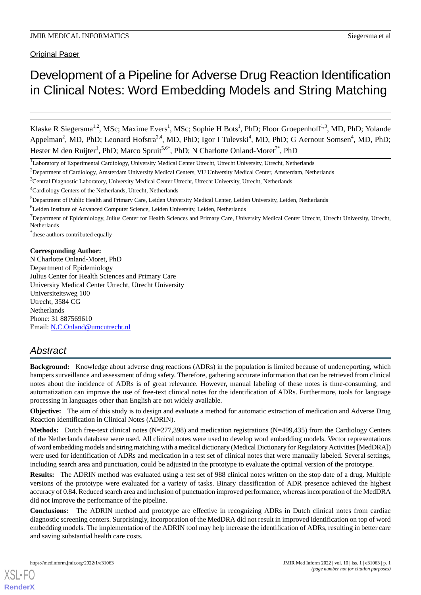Original Paper

# Development of a Pipeline for Adverse Drug Reaction Identification in Clinical Notes: Word Embedding Models and String Matching

Klaske R Siegersma<sup>1,2</sup>, MSc; Maxime Evers<sup>1</sup>, MSc; Sophie H Bots<sup>1</sup>, PhD; Floor Groepenhoff<sup>1,3</sup>, MD, PhD; Yolande Appelman<sup>2</sup>, MD, PhD; Leonard Hofstra<sup>2,4</sup>, MD, PhD; Igor I Tulevski<sup>4</sup>, MD, PhD; G Aernout Somsen<sup>4</sup>, MD, PhD; Hester M den Ruijter<sup>1</sup>, PhD; Marco Spruit<sup>5,6\*</sup>, PhD; N Charlotte Onland-Moret<sup>7\*</sup>, PhD

\* these authors contributed equally

### **Corresponding Author:**

N Charlotte Onland-Moret, PhD Department of Epidemiology Julius Center for Health Sciences and Primary Care University Medical Center Utrecht, Utrecht University Universiteitsweg 100 Utrecht, 3584 CG **Netherlands** Phone: 31 887569610 Email: [N.C.Onland@umcutrecht.nl](mailto:N.C.Onland@umcutrecht.nl)

# *Abstract*

**Background:** Knowledge about adverse drug reactions (ADRs) in the population is limited because of underreporting, which hampers surveillance and assessment of drug safety. Therefore, gathering accurate information that can be retrieved from clinical notes about the incidence of ADRs is of great relevance. However, manual labeling of these notes is time-consuming, and automatization can improve the use of free-text clinical notes for the identification of ADRs. Furthermore, tools for language processing in languages other than English are not widely available.

**Objective:** The aim of this study is to design and evaluate a method for automatic extraction of medication and Adverse Drug Reaction Identification in Clinical Notes (ADRIN).

**Methods:** Dutch free-text clinical notes (N=277,398) and medication registrations (N=499,435) from the Cardiology Centers of the Netherlands database were used. All clinical notes were used to develop word embedding models. Vector representations of word embedding models and string matching with a medical dictionary (Medical Dictionary for Regulatory Activities [MedDRA]) were used for identification of ADRs and medication in a test set of clinical notes that were manually labeled. Several settings, including search area and punctuation, could be adjusted in the prototype to evaluate the optimal version of the prototype.

**Results:** The ADRIN method was evaluated using a test set of 988 clinical notes written on the stop date of a drug. Multiple versions of the prototype were evaluated for a variety of tasks. Binary classification of ADR presence achieved the highest accuracy of 0.84. Reduced search area and inclusion of punctuation improved performance, whereas incorporation of the MedDRA did not improve the performance of the pipeline.

**Conclusions:** The ADRIN method and prototype are effective in recognizing ADRs in Dutch clinical notes from cardiac diagnostic screening centers. Surprisingly, incorporation of the MedDRA did not result in improved identification on top of word embedding models. The implementation of the ADRIN tool may help increase the identification of ADRs, resulting in better care and saving substantial health care costs.

<sup>1</sup>Laboratory of Experimental Cardiology, University Medical Center Utrecht, Utrecht University, Utrecht, Netherlands

<sup>&</sup>lt;sup>2</sup>Department of Cardiology, Amsterdam University Medical Centers, VU University Medical Center, Amsterdam, Netherlands

<sup>&</sup>lt;sup>3</sup>Central Diagnostic Laboratory, University Medical Center Utrecht, Utrecht University, Utrecht, Netherlands

<sup>4</sup>Cardiology Centers of the Netherlands, Utrecht, Netherlands

<sup>5</sup>Department of Public Health and Primary Care, Leiden University Medical Center, Leiden University, Leiden, Netherlands

<sup>6</sup>Leiden Institute of Advanced Computer Science, Leiden University, Leiden, Netherlands

 $<sup>7</sup>$ Department of Epidemiology, Julius Center for Health Sciences and Primary Care, University Medical Center Utrecht, Utrecht University, Utrecht,</sup> Netherlands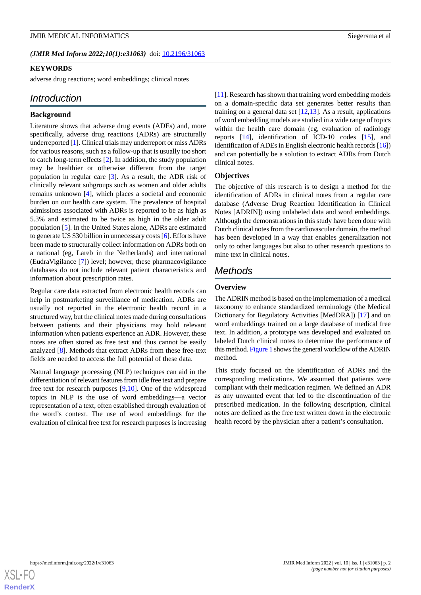(JMIR Med Inform 2022;10(1):e31063) doi: [10.2196/31063](http://dx.doi.org/10.2196/31063)

### **KEYWORDS**

adverse drug reactions; word embeddings; clinical notes

# *Introduction*

### **Background**

Literature shows that adverse drug events (ADEs) and, more specifically, adverse drug reactions (ADRs) are structurally underreported [[1\]](#page-10-0). Clinical trials may underreport or miss ADRs for various reasons, such as a follow-up that is usually too short to catch long-term effects [\[2](#page-10-1)]. In addition, the study population may be healthier or otherwise different from the target population in regular care [[3\]](#page-10-2). As a result, the ADR risk of clinically relevant subgroups such as women and older adults remains unknown [[4\]](#page-10-3), which places a societal and economic burden on our health care system. The prevalence of hospital admissions associated with ADRs is reported to be as high as 5.3% and estimated to be twice as high in the older adult population [[5\]](#page-10-4). In the United States alone, ADRs are estimated to generate US \$30 billion in unnecessary costs [[6](#page-10-5)]. Efforts have been made to structurally collect information on ADRs both on a national (eg, Lareb in the Netherlands) and international (EudraVigilance [\[7](#page-10-6)]) level; however, these pharmacovigilance databases do not include relevant patient characteristics and information about prescription rates.

Regular care data extracted from electronic health records can help in postmarketing surveillance of medication. ADRs are usually not reported in the electronic health record in a structured way, but the clinical notes made during consultations between patients and their physicians may hold relevant information when patients experience an ADR. However, these notes are often stored as free text and thus cannot be easily analyzed [\[8](#page-10-7)]. Methods that extract ADRs from these free-text fields are needed to access the full potential of these data.

Natural language processing (NLP) techniques can aid in the differentiation of relevant features from idle free text and prepare free text for research purposes [[9](#page-10-8)[,10](#page-10-9)]. One of the widespread topics in NLP is the use of word embeddings—a vector representation of a text, often established through evaluation of the word's context. The use of word embeddings for the evaluation of clinical free text for research purposes is increasing

[[11\]](#page-10-10). Research has shown that training word embedding models on a domain-specific data set generates better results than training on a general data set  $[12,13]$  $[12,13]$  $[12,13]$ . As a result, applications of word embedding models are studied in a wide range of topics within the health care domain (eg, evaluation of radiology reports [\[14](#page-10-13)], identification of ICD-10 codes [[15\]](#page-10-14), and identification of ADEs in English electronic health records [\[16](#page-10-15)]) and can potentially be a solution to extract ADRs from Dutch clinical notes.

### **Objectives**

The objective of this research is to design a method for the identification of ADRs in clinical notes from a regular care database (Adverse Drug Reaction Identification in Clinical Notes [ADRIN]) using unlabeled data and word embeddings. Although the demonstrations in this study have been done with Dutch clinical notes from the cardiovascular domain, the method has been developed in a way that enables generalization not only to other languages but also to other research questions to mine text in clinical notes.

# *Methods*

### **Overview**

The ADRIN method is based on the implementation of a medical taxonomy to enhance standardized terminology (the Medical Dictionary for Regulatory Activities [MedDRA]) [[17\]](#page-11-0) and on word embeddings trained on a large database of medical free text. In addition, a prototype was developed and evaluated on labeled Dutch clinical notes to determine the performance of this method. [Figure 1](#page-2-0) shows the general workflow of the ADRIN method.

This study focused on the identification of ADRs and the corresponding medications. We assumed that patients were compliant with their medication regimen. We defined an ADR as any unwanted event that led to the discontinuation of the prescribed medication. In the following description, clinical notes are defined as the free text written down in the electronic health record by the physician after a patient's consultation.

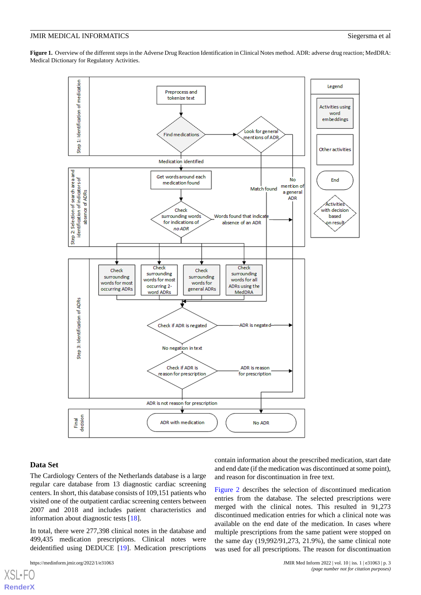<span id="page-2-0"></span>**Figure 1.** Overview of the different steps in the Adverse Drug Reaction Identification in Clinical Notes method. ADR: adverse drug reaction; MedDRA: Medical Dictionary for Regulatory Activities.



### **Data Set**

 $XS$  • FC **[RenderX](http://www.renderx.com/)**

The Cardiology Centers of the Netherlands database is a large regular care database from 13 diagnostic cardiac screening centers. In short, this database consists of 109,151 patients who visited one of the outpatient cardiac screening centers between 2007 and 2018 and includes patient characteristics and information about diagnostic tests [\[18](#page-11-1)].

In total, there were 277,398 clinical notes in the database and 499,435 medication prescriptions. Clinical notes were deidentified using DEDUCE [\[19](#page-11-2)]. Medication prescriptions

contain information about the prescribed medication, start date and end date (if the medication was discontinued at some point), and reason for discontinuation in free text.

[Figure 2](#page-3-0) describes the selection of discontinued medication entries from the database. The selected prescriptions were merged with the clinical notes. This resulted in 91,273 discontinued medication entries for which a clinical note was available on the end date of the medication. In cases where multiple prescriptions from the same patient were stopped on the same day (19,992/91,273, 21.9%), the same clinical note was used for all prescriptions. The reason for discontinuation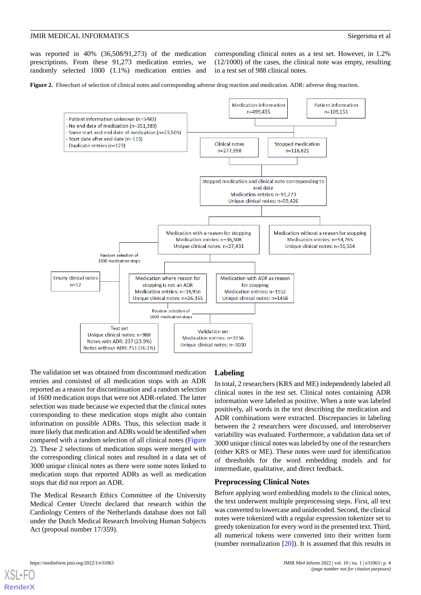was reported in 40% (36,508/91,273) of the medication prescriptions. From these 91,273 medication entries, we randomly selected 1000 (1.1%) medication entries and

corresponding clinical notes as a test set. However, in 1.2% (12/1000) of the cases, the clinical note was empty, resulting in a test set of 988 clinical notes.

<span id="page-3-0"></span>**Figure 2.** Flowchart of selection of clinical notes and corresponding adverse drug reaction and medication. ADR: adverse drug reaction.



The validation set was obtained from discontinued medication entries and consisted of all medication stops with an ADR reported as a reason for discontinuation and a random selection of 1600 medication stops that were not ADR-related. The latter selection was made because we expected that the clinical notes corresponding to these medication stops might also contain information on possible ADRs. Thus, this selection made it more likely that medication and ADRs would be identified when compared with a random selection of all clinical notes ([Figure](#page-3-0) [2\)](#page-3-0). These 2 selections of medication stops were merged with the corresponding clinical notes and resulted in a data set of 3000 unique clinical notes as there were some notes linked to medication stops that reported ADRs as well as medication stops that did not report an ADR.

The Medical Research Ethics Committee of the University Medical Center Utrecht declared that research within the Cardiology Centers of the Netherlands database does not fall under the Dutch Medical Research Involving Human Subjects Act (proposal number 17/359).

# **Labeling**

In total, 2 researchers (KRS and ME) independently labeled all clinical notes in the test set. Clinical notes containing ADR information were labeled as positive. When a note was labeled positively, all words in the text describing the medication and ADR combinations were extracted. Discrepancies in labeling between the 2 researchers were discussed, and interobserver variability was evaluated. Furthermore, a validation data set of 3000 unique clinical notes was labeled by one of the researchers (either KRS or ME). These notes were used for identification of thresholds for the word embedding models and for intermediate, qualitative, and direct feedback.

### **Preprocessing Clinical Notes**

Before applying word embedding models to the clinical notes, the text underwent multiple preprocessing steps. First, all text was converted to lowercase and unidecoded. Second, the clinical notes were tokenized with a regular expression tokenizer set to greedy tokenization for every word in the presented text. Third, all numerical tokens were converted into their written form (number normalization [\[20](#page-11-3)]). It is assumed that this results in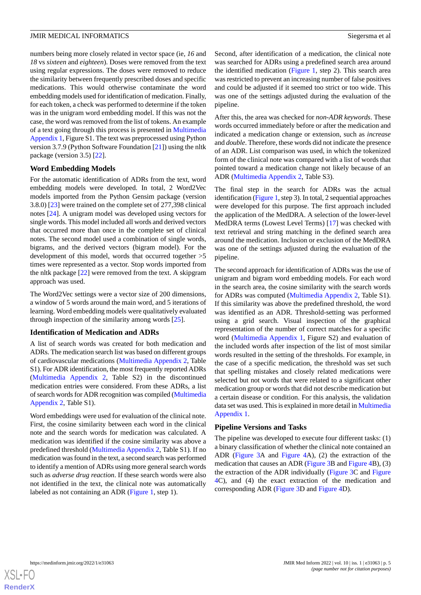numbers being more closely related in vector space (ie, *16* and *18* vs *sixteen* and *eighteen*). Doses were removed from the text using regular expressions. The doses were removed to reduce the similarity between frequently prescribed doses and specific medications. This would otherwise contaminate the word embedding models used for identification of medication. Finally, for each token, a check was performed to determine if the token was in the unigram word embedding model. If this was not the case, the word was removed from the list of tokens. An example of a text going through this process is presented in [Multimedia](#page-10-16) [Appendix 1](#page-10-16), Figure S1. The text was preprocessed using Python version 3.7.9 (Python Software Foundation [\[21](#page-11-4)]) using the nltk package (version 3.5) [[22\]](#page-11-5).

# **Word Embedding Models**

For the automatic identification of ADRs from the text, word embedding models were developed. In total, 2 Word2Vec models imported from the Python Gensim package (version 3.8.0) [\[23](#page-11-6)] were trained on the complete set of 277,398 clinical notes [[24\]](#page-11-7). A unigram model was developed using vectors for single words. This model included all words and derived vectors that occurred more than once in the complete set of clinical notes. The second model used a combination of single words, bigrams, and the derived vectors (bigram model). For the development of this model, words that occurred together >5 times were represented as a vector. Stop words imported from the nltk package [[22\]](#page-11-5) were removed from the text. A skipgram approach was used.

The Word2Vec settings were a vector size of 200 dimensions, a window of 5 words around the main word, and 5 iterations of learning. Word embedding models were qualitatively evaluated through inspection of the similarity among words [\[25](#page-11-8)].

### **Identification of Medication and ADRs**

A list of search words was created for both medication and ADRs. The medication search list was based on different groups of cardiovascular medications [\(Multimedia Appendix 2,](#page-10-17) Table S1). For ADR identification, the most frequently reported ADRs ([Multimedia Appendix 2,](#page-10-17) Table S2) in the discontinued medication entries were considered. From these ADRs, a list of search words for ADR recognition was compiled [\(Multimedia](#page-10-17) [Appendix 2,](#page-10-17) Table S1).

Word embeddings were used for evaluation of the clinical note. First, the cosine similarity between each word in the clinical note and the search words for medication was calculated. A medication was identified if the cosine similarity was above a predefined threshold ([Multimedia Appendix 2](#page-10-17), Table S1). If no medication was found in the text, a second search was performed to identify a mention of ADRs using more general search words such as *adverse drug reaction*. If these search words were also not identified in the text, the clinical note was automatically labeled as not containing an ADR ([Figure 1](#page-2-0), step 1).

Second, after identification of a medication, the clinical note was searched for ADRs using a predefined search area around the identified medication ([Figure 1](#page-2-0), step 2). This search area was restricted to prevent an increasing number of false positives and could be adjusted if it seemed too strict or too wide. This was one of the settings adjusted during the evaluation of the pipeline.

After this, the area was checked for *non-ADR keywords*. These words occurred immediately before or after the medication and indicated a medication change or extension, such as *increase* and *double*. Therefore, these words did not indicate the presence of an ADR. List comparison was used, in which the tokenized form of the clinical note was compared with a list of words that pointed toward a medication change not likely because of an ADR ([Multimedia Appendix 2,](#page-10-17) Table S3).

The final step in the search for ADRs was the actual identification ([Figure 1](#page-2-0), step 3). In total, 2 sequential approaches were developed for this purpose. The first approach included the application of the MedDRA. A selection of the lower-level MedDRA terms (Lowest Level Terms) [\[17](#page-11-0)] was checked with text retrieval and string matching in the defined search area around the medication. Inclusion or exclusion of the MedDRA was one of the settings adjusted during the evaluation of the pipeline.

The second approach for identification of ADRs was the use of unigram and bigram word embedding models. For each word in the search area, the cosine similarity with the search words for ADRs was computed ([Multimedia Appendix 2](#page-10-17), Table S1). If this similarity was above the predefined threshold, the word was identified as an ADR. Threshold-setting was performed using a grid search. Visual inspection of the graphical representation of the number of correct matches for a specific word ([Multimedia Appendix 1,](#page-10-16) Figure S2) and evaluation of the included words after inspection of the list of most similar words resulted in the setting of the thresholds. For example, in the case of a specific medication, the threshold was set such that spelling mistakes and closely related medications were selected but not words that were related to a significant other medication group or words that did not describe medication but a certain disease or condition. For this analysis, the validation data set was used. This is explained in more detail in [Multimedia](#page-10-16) [Appendix 1.](#page-10-16)

### **Pipeline Versions and Tasks**

The pipeline was developed to execute four different tasks: (1) a binary classification of whether the clinical note contained an ADR [\(Figure 3A](#page-5-0) and [Figure 4A](#page-6-0)), (2) the extraction of the medication that causes an ADR [\(Figure 3B](#page-5-0) and [Figure 4](#page-6-0)B), (3) the extraction of the ADR individually ([Figure 3C](#page-5-0) and [Figure](#page-6-0) [4C](#page-6-0)), and (4) the exact extraction of the medication and corresponding ADR [\(Figure 3D](#page-5-0) and [Figure 4](#page-6-0)D).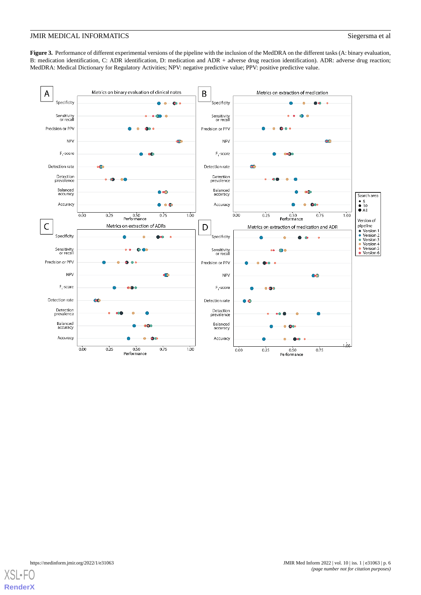<span id="page-5-0"></span>**Figure 3.** Performance of different experimental versions of the pipeline with the inclusion of the MedDRA on the different tasks (A: binary evaluation, B: medication identification, C: ADR identification, D: medication and ADR + adverse drug reaction identification). ADR: adverse drug reaction; MedDRA: Medical Dictionary for Regulatory Activities; NPV: negative predictive value; PPV: positive predictive value.



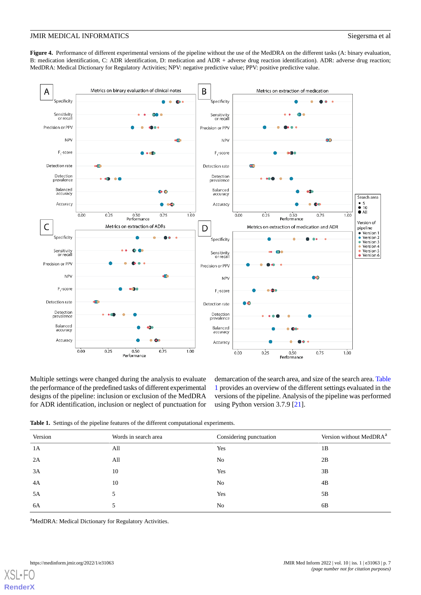<span id="page-6-0"></span>Figure 4. Performance of different experimental versions of the pipeline without the use of the MedDRA on the different tasks (A: binary evaluation, B: medication identification, C: ADR identification, D: medication and ADR + adverse drug reaction identification). ADR: adverse drug reaction; MedDRA: Medical Dictionary for Regulatory Activities; NPV: negative predictive value; PPV: positive predictive value.



<span id="page-6-1"></span>Multiple settings were changed during the analysis to evaluate the performance of the predefined tasks of different experimental designs of the pipeline: inclusion or exclusion of the MedDRA for ADR identification, inclusion or neglect of punctuation for demarcation of the search area, and size of the search area. [Table](#page-6-1) [1](#page-6-1) provides an overview of the different settings evaluated in the versions of the pipeline. Analysis of the pipeline was performed using Python version 3.7.9 [\[21](#page-11-4)].

|  |  |  |  |  |  | <b>Table 1.</b> Settings of the pipeline features of the different computational experiments. |  |
|--|--|--|--|--|--|-----------------------------------------------------------------------------------------------|--|
|--|--|--|--|--|--|-----------------------------------------------------------------------------------------------|--|

| Version | Words in search area | Considering punctuation | Version without MedDRA <sup>a</sup> |
|---------|----------------------|-------------------------|-------------------------------------|
| 1A      | All                  | Yes                     | 1B                                  |
| 2A      | All                  | No                      | 2B                                  |
| 3A      | 10                   | Yes                     | 3B                                  |
| 4A      | 10                   | No                      | 4B                                  |
| 5A      |                      | Yes                     | 5B                                  |
| 6A      |                      | N <sub>0</sub>          | 6B                                  |

<sup>a</sup>MedDRA: Medical Dictionary for Regulatory Activities.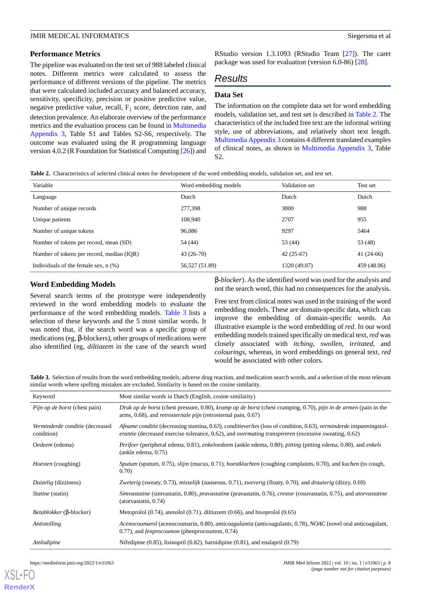### **Performance Metrics**

The pipeline was evaluated on the test set of 988 labeled clinical notes. Different metrics were calculated to assess the performance of different versions of the pipeline. The metrics that were calculated included accuracy and balanced accuracy, sensitivity, specificity, precision or positive predictive value, negative predictive value, recall,  $F_1$  score, detection rate, and detection prevalence. An elaborate overview of the performance metrics and the evaluation process can be found in [Multimedia](#page-10-18) [Appendix 3,](#page-10-18) Table S1 and Tables S2-S6, respectively. The outcome was evaluated using the R programming language version 4.0.2 (R Foundation for Statistical Computing [[26\]](#page-11-9)) and RStudio version 1.3.1093 (RStudio Team [\[27](#page-11-10)]). The caret package was used for evaluation (version 6.0-86) [[28\]](#page-11-11).

# *Results*

# **Data Set**

The information on the complete data set for word embedding models, validation set, and test set is described in [Table 2](#page-7-0). The characteristics of the included free text are the informal writing style, use of abbreviations, and relatively short text length. [Multimedia Appendix 3](#page-10-18) contains 4 different translated examples of clinical notes, as shown in [Multimedia Appendix 3,](#page-10-18) Table S2.

<span id="page-7-0"></span>**Table 2.** Characteristics of selected clinical notes for development of the word embedding models, validation set, and test set.

| Variable                                  | Word embedding models | Validation set | Test set    |
|-------------------------------------------|-----------------------|----------------|-------------|
| Language                                  | Dutch                 | Dutch          | Dutch       |
| Number of unique records                  | 277,398               | 3000           | 988         |
| Unique patients                           | 108.940               | 2707           | 955         |
| Number of unique tokens                   | 96,086                | 9297           | 5464        |
| Number of tokens per record, mean (SD)    | 54 (44)               | 53 (44)        | 53 (48)     |
| Number of tokens per record, median (IQR) | $43(26-70)$           | $42(25-67)$    | $41(24-66)$ |
| Individuals of the female sex, $n$ $(\%)$ | 56,527 (51.89)        | 1320 (49.07)   | 459 (48.06) |

# **Word Embedding Models**

Several search terms of the prototype were independently reviewed in the word embedding models to evaluate the performance of the word embedding models. [Table 3](#page-7-1) lists a selection of these keywords and the 5 most similar words. It was noted that, if the search word was a specific group of medications (eg, β-blockers), other groups of medications were also identified (eg, *diltiazem* in the case of the search word

β*-blocker*). As the identified word was used for the analysis and not the search word, this had no consequences for the analysis.

Free text from clinical notes was used in the training of the word embedding models. These are domain-specific data, which can improve the embedding of domain-specific words. An illustrative example is the word embedding of *red*. In our word embedding models trained specifically on medical text, *red* was closely associated with *itching*, *swollen*, *irritated*, and *colourings*, whereas, in word embeddings on general text, *red* would be associated with other colors.

<span id="page-7-1"></span>**Table 3.** Selection of results from the word embedding models, adverse drug reaction, and medication search words, and a selection of the most relevant similar words where spelling mistakes are excluded. Similarity is based on the cosine similarity.

| Keyword                                       | Most similar words in Dutch (English, cosine similarity)                                                                                                                                                                                       |
|-----------------------------------------------|------------------------------------------------------------------------------------------------------------------------------------------------------------------------------------------------------------------------------------------------|
| <i>Pijn op de borst</i> (chest pain)          | Druk op de borst (chest pressure, 0.80), kramp op de borst (chest cramping, 0.70), pijn in de armen (pain in the<br>arms, $0.68$ ), and <i>retrosternale pijn</i> (retrosternal pain, $0.67$ )                                                 |
| Verminderde conditie (decreased<br>condition) | Afname conditie (decreasing stamina, 0.63), conditieverlies (loss of condition, 0.63), verminderde inspanningstol-<br><i>erantie</i> (decreased exercise tolerance, $0.62$ ), and <i>overmating transpireren</i> (excessive sweating, $0.62$ ) |
| Oedeem (edema)                                | Perifeer (peripheral edema, 0.81), enkeloedeem (ankle edema, 0.80), pitting (pitting edema, 0.80), and enkels<br>(ankle edema, 0.75)                                                                                                           |
| <i>Hoesten</i> (coughing)                     | Sputum (sputum, 0.75), slijm (mucus, 0.71), hoestklachten (coughing complaints, 0.70), and kuchen (to cough,<br>0.70)                                                                                                                          |
| Duizelig (dizziness)                          | Zweterig (sweaty, 0.73), misselijk (nauseous, 0.71), zweverig (floaty, 0.70), and draaierig (dizzy, 0.69)                                                                                                                                      |
| <i>Statine</i> (statin)                       | Simvastatine (simvastatin, 0.80), pravastatine (pravastatin, 0.76), crestor (rosuvastatin, 0.75), and atorvastatine<br>(atorvastatin, 0.74)                                                                                                    |
| <i>Betablokker</i> (β-blocker)                | Metoprolol $(0.74)$ , atenolol $(0.71)$ , diltiazem $(0.66)$ , and bisoprolol $(0.65)$                                                                                                                                                         |
| Antistolling                                  | Acenocoumarol (acenocoumarin, 0.80), anticoagulantia (anticoagulants, 0.78), NOAC (novel oral anticoagulant,<br>0.77), and <i>fenprocoumon</i> (phenprocoumon, 0.74)                                                                           |
| Amlodipine                                    | Nifedipine $(0.85)$ , lisinopril $(0.82)$ , barnidipine $(0.81)$ , and enalapril $(0.79)$                                                                                                                                                      |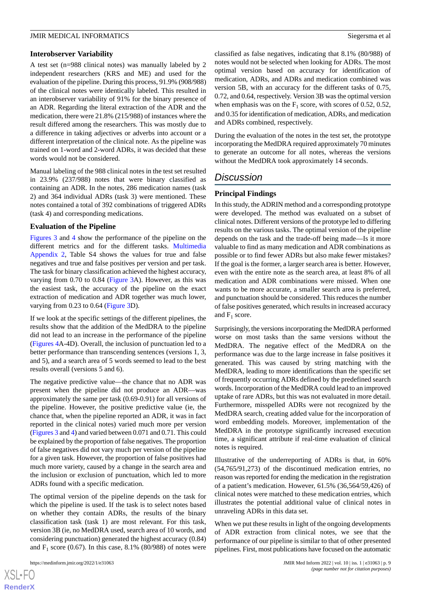### **Interobserver Variability**

A test set (n=988 clinical notes) was manually labeled by 2 independent researchers (KRS and ME) and used for the evaluation of the pipeline. During this process, 91.9% (908/988) of the clinical notes were identically labeled. This resulted in an interobserver variability of 91% for the binary presence of an ADR. Regarding the literal extraction of the ADR and the medication, there were 21.8% (215/988) of instances where the result differed among the researchers. This was mostly due to a difference in taking adjectives or adverbs into account or a different interpretation of the clinical note. As the pipeline was trained on 1-word and 2-word ADRs, it was decided that these words would not be considered.

Manual labeling of the 988 clinical notes in the test set resulted in 23.9% (237/988) notes that were binary classified as containing an ADR. In the notes, 286 medication names (task 2) and 364 individual ADRs (task 3) were mentioned. These notes contained a total of 392 combinations of triggered ADRs (task 4) and corresponding medications.

# **Evaluation of the Pipeline**

[Figures 3](#page-5-0) and [4](#page-6-0) show the performance of the pipeline on the different metrics and for the different tasks. [Multimedia](#page-10-17) [Appendix 2,](#page-10-17) Table S4 shows the values for true and false negatives and true and false positives per version and per task. The task for binary classification achieved the highest accuracy, varying from 0.70 to 0.84 ([Figure 3](#page-5-0)A). However, as this was the easiest task, the accuracy of the pipeline on the exact extraction of medication and ADR together was much lower, varying from 0.23 to 0.64 ([Figure 3](#page-5-0)D).

If we look at the specific settings of the different pipelines, the results show that the addition of the MedDRA to the pipeline did not lead to an increase in the performance of the pipeline ([Figures 4](#page-6-0)A-4D). Overall, the inclusion of punctuation led to a better performance than transcending sentences (versions 1, 3, and 5), and a search area of 5 words seemed to lead to the best results overall (versions 5 and 6).

The negative predictive value—the chance that no ADR was present when the pipeline did not produce an ADR—was approximately the same per task (0.69-0.91) for all versions of the pipeline. However, the positive predictive value (ie, the chance that, when the pipeline reported an ADR, it was in fact reported in the clinical notes) varied much more per version ([Figures 3](#page-5-0) and [4](#page-6-0)) and varied between 0.071 and 0.71. This could be explained by the proportion of false negatives. The proportion of false negatives did not vary much per version of the pipeline for a given task. However, the proportion of false positives had much more variety, caused by a change in the search area and the inclusion or exclusion of punctuation, which led to more ADRs found with a specific medication.

The optimal version of the pipeline depends on the task for which the pipeline is used. If the task is to select notes based on whether they contain ADRs, the results of the binary classification task (task 1) are most relevant. For this task, version 3B (ie, no MedDRA used, search area of 10 words, and considering punctuation) generated the highest accuracy (0.84) and  $F_1$  score (0.67). In this case, 8.1% (80/988) of notes were

[XSL](http://www.w3.org/Style/XSL)•FO **[RenderX](http://www.renderx.com/)** classified as false negatives, indicating that 8.1% (80/988) of notes would not be selected when looking for ADRs. The most optimal version based on accuracy for identification of medication, ADRs, and ADRs and medication combined was version 5B, with an accuracy for the different tasks of 0.75, 0.72, and 0.64, respectively. Version 3B was the optimal version when emphasis was on the  $F_1$  score, with scores of 0.52, 0.52, and 0.35 for identification of medication, ADRs, and medication and ADRs combined, respectively.

During the evaluation of the notes in the test set, the prototype incorporating the MedDRA required approximately 70 minutes to generate an outcome for all notes, whereas the versions without the MedDRA took approximately 14 seconds.

# *Discussion*

# **Principal Findings**

In this study, the ADRIN method and a corresponding prototype were developed. The method was evaluated on a subset of clinical notes. Different versions of the prototype led to differing results on the various tasks. The optimal version of the pipeline depends on the task and the trade-off being made—Is it more valuable to find as many medication and ADR combinations as possible or to find fewer ADRs but also make fewer mistakes? If the goal is the former, a larger search area is better. However, even with the entire note as the search area, at least 8% of all medication and ADR combinations were missed. When one wants to be more accurate, a smaller search area is preferred, and punctuation should be considered. This reduces the number of false positives generated, which results in increased accuracy and  $F_1$  score.

Surprisingly, the versions incorporating the MedDRA performed worse on most tasks than the same versions without the MedDRA. The negative effect of the MedDRA on the performance was due to the large increase in false positives it generated. This was caused by string matching with the MedDRA, leading to more identifications than the specific set of frequently occurring ADRs defined by the predefined search words. Incorporation of the MedDRA could lead to an improved uptake of rare ADRs, but this was not evaluated in more detail. Furthermore, misspelled ADRs were not recognized by the MedDRA search, creating added value for the incorporation of word embedding models. Moreover, implementation of the MedDRA in the prototype significantly increased execution time, a significant attribute if real-time evaluation of clinical notes is required.

Illustrative of the underreporting of ADRs is that, in 60% (54,765/91,273) of the discontinued medication entries, no reason was reported for ending the medication in the registration of a patient's medication. However, 61.5% (36,564/59,426) of clinical notes were matched to these medication entries, which illustrates the potential additional value of clinical notes in unraveling ADRs in this data set.

When we put these results in light of the ongoing developments of ADR extraction from clinical notes, we see that the performance of our pipeline is similar to that of other presented pipelines. First, most publications have focused on the automatic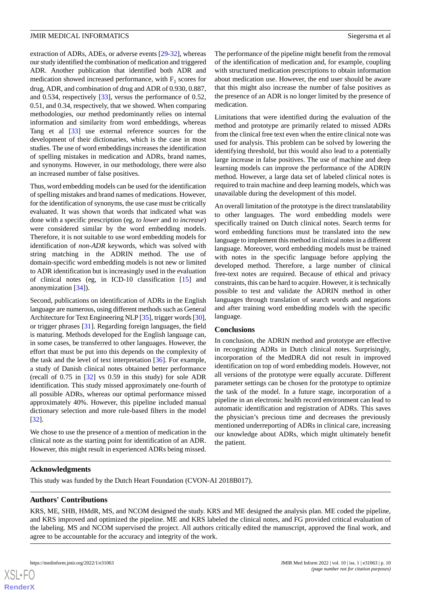extraction of ADRs, ADEs, or adverse events [[29-](#page-11-12)[32\]](#page-11-13), whereas our study identified the combination of medication and triggered ADR. Another publication that identified both ADR and medication showed increased performance, with  $F_1$  scores for drug, ADR, and combination of drug and ADR of 0.930, 0.887, and 0.534, respectively [\[33](#page-11-14)], versus the performance of 0.52, 0.51, and 0.34, respectively, that we showed. When comparing methodologies, our method predominantly relies on internal information and similarity from word embeddings, whereas Tang et al [[33\]](#page-11-14) use external reference sources for the development of their dictionaries, which is the case in most studies. The use of word embeddings increases the identification of spelling mistakes in medication and ADRs, brand names, and synonyms. However, in our methodology, there were also an increased number of false positives.

Thus, word embedding models can be used for the identification of spelling mistakes and brand names of medications. However, for the identification of synonyms, the use case must be critically evaluated. It was shown that words that indicated what was done with a specific prescription (eg, *to lower* and *to increase*) were considered similar by the word embedding models. Therefore, it is not suitable to use word embedding models for identification of *non-ADR* keywords, which was solved with string matching in the ADRIN method. The use of domain-specific word embedding models is not new or limited to ADR identification but is increasingly used in the evaluation of clinical notes (eg, in ICD-10 classification [\[15](#page-10-14)] and anonymization [[34\]](#page-11-15)).

Second, publications on identification of ADRs in the English language are numerous, using different methods such as General Architecture for Text Engineering NLP [[35\]](#page-11-16), trigger words [\[30\]](#page-11-17), or trigger phrases [\[31](#page-11-18)]. Regarding foreign languages, the field is maturing. Methods developed for the English language can, in some cases, be transferred to other languages. However, the effort that must be put into this depends on the complexity of the task and the level of text interpretation [\[36](#page-11-19)]. For example, a study of Danish clinical notes obtained better performance (recall of 0.75 in [[32\]](#page-11-13) vs 0.59 in this study) for sole ADR identification. This study missed approximately one-fourth of all possible ADRs, whereas our optimal performance missed approximately 40%. However, this pipeline included manual dictionary selection and more rule-based filters in the model [[32\]](#page-11-13).

We chose to use the presence of a mention of medication in the clinical note as the starting point for identification of an ADR. However, this might result in experienced ADRs being missed.

The performance of the pipeline might benefit from the removal of the identification of medication and, for example, coupling with structured medication prescriptions to obtain information about medication use. However, the end user should be aware that this might also increase the number of false positives as the presence of an ADR is no longer limited by the presence of medication.

Limitations that were identified during the evaluation of the method and prototype are primarily related to missed ADRs from the clinical free text even when the entire clinical note was used for analysis. This problem can be solved by lowering the identifying threshold, but this would also lead to a potentially large increase in false positives. The use of machine and deep learning models can improve the performance of the ADRIN method. However, a large data set of labeled clinical notes is required to train machine and deep learning models, which was unavailable during the development of this model.

An overall limitation of the prototype is the direct translatability to other languages. The word embedding models were specifically trained on Dutch clinical notes. Search terms for word embedding functions must be translated into the new language to implement this method in clinical notes in a different language. Moreover, word embedding models must be trained with notes in the specific language before applying the developed method. Therefore, a large number of clinical free-text notes are required. Because of ethical and privacy constraints, this can be hard to acquire. However, it is technically possible to test and validate the ADRIN method in other languages through translation of search words and negations and after training word embedding models with the specific language.

### **Conclusions**

In conclusion, the ADRIN method and prototype are effective in recognizing ADRs in Dutch clinical notes. Surprisingly, incorporation of the MedDRA did not result in improved identification on top of word embedding models. However, not all versions of the prototype were equally accurate. Different parameter settings can be chosen for the prototype to optimize the task of the model. In a future stage, incorporation of a pipeline in an electronic health record environment can lead to automatic identification and registration of ADRs. This saves the physician's precious time and decreases the previously mentioned underreporting of ADRs in clinical care, increasing our knowledge about ADRs, which might ultimately benefit the patient.

# **Acknowledgments**

This study was funded by the Dutch Heart Foundation (CVON-AI 2018B017).

# **Authors' Contributions**

KRS, ME, SHB, HMdR, MS, and NCOM designed the study. KRS and ME designed the analysis plan. ME coded the pipeline, and KRS improved and optimized the pipeline. ME and KRS labeled the clinical notes, and FG provided critical evaluation of the labeling. MS and NCOM supervised the project. All authors critically edited the manuscript, approved the final work, and agree to be accountable for the accuracy and integrity of the work.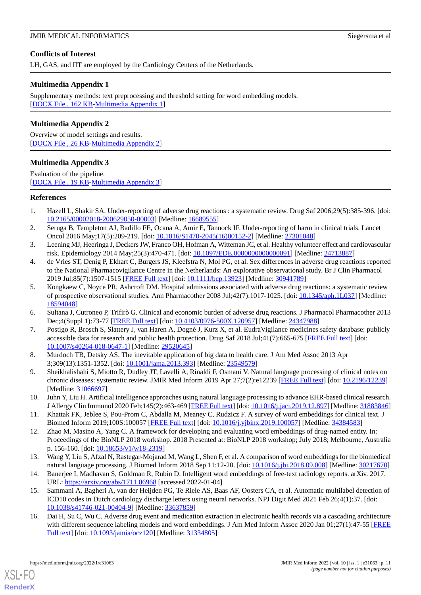# **Conflicts of Interest**

LH, GAS, and IIT are employed by the Cardiology Centers of the Netherlands.

# <span id="page-10-16"></span>**Multimedia Appendix 1**

Supplementary methods: text preprocessing and threshold setting for word embedding models. [[DOCX File , 162 KB-Multimedia Appendix 1\]](https://jmir.org/api/download?alt_name=medinform_v10i1e31063_app1.docx&filename=9c4d2704ff1f69e99d4d48929611a85e.docx)

# <span id="page-10-17"></span>**Multimedia Appendix 2**

<span id="page-10-18"></span>Overview of model settings and results. [[DOCX File , 26 KB](https://jmir.org/api/download?alt_name=medinform_v10i1e31063_app2.docx&filename=d7425e99c2b110cdc22ba3f8689fa7c9.docx)-[Multimedia Appendix 2\]](https://jmir.org/api/download?alt_name=medinform_v10i1e31063_app2.docx&filename=d7425e99c2b110cdc22ba3f8689fa7c9.docx)

# **Multimedia Appendix 3**

Evaluation of the pipeline. [DOCX File, 19 KB-[Multimedia Appendix 3\]](https://jmir.org/api/download?alt_name=medinform_v10i1e31063_app3.docx&filename=0e29b4ec2c32a87550b61100ed126d28.docx)

# <span id="page-10-0"></span>**References**

- <span id="page-10-1"></span>1. Hazell L, Shakir SA. Under-reporting of adverse drug reactions : a systematic review. Drug Saf 2006;29(5):385-396. [doi: [10.2165/00002018-200629050-00003](http://dx.doi.org/10.2165/00002018-200629050-00003)] [Medline: [16689555](http://www.ncbi.nlm.nih.gov/entrez/query.fcgi?cmd=Retrieve&db=PubMed&list_uids=16689555&dopt=Abstract)]
- <span id="page-10-3"></span><span id="page-10-2"></span>2. Seruga B, Templeton AJ, Badillo FE, Ocana A, Amir E, Tannock IF. Under-reporting of harm in clinical trials. Lancet Oncol 2016 May;17(5):209-219. [doi: [10.1016/S1470-2045\(16\)00152-2](http://dx.doi.org/10.1016/S1470-2045(16)00152-2)] [Medline: [27301048](http://www.ncbi.nlm.nih.gov/entrez/query.fcgi?cmd=Retrieve&db=PubMed&list_uids=27301048&dopt=Abstract)]
- 3. Leening MJ, Heeringa J, Deckers JW, Franco OH, Hofman A, Witteman JC, et al. Healthy volunteer effect and cardiovascular risk. Epidemiology 2014 May;25(3):470-471. [doi: [10.1097/EDE.0000000000000091\]](http://dx.doi.org/10.1097/EDE.0000000000000091) [Medline: [24713887](http://www.ncbi.nlm.nih.gov/entrez/query.fcgi?cmd=Retrieve&db=PubMed&list_uids=24713887&dopt=Abstract)]
- <span id="page-10-4"></span>4. de Vries ST, Denig P, Ekhart C, Burgers JS, Kleefstra N, Mol PG, et al. Sex differences in adverse drug reactions reported to the National Pharmacovigilance Centre in the Netherlands: An explorative observational study. Br J Clin Pharmacol 2019 Jul;85(7):1507-1515 [\[FREE Full text\]](https://doi.org/10.1111/bcp.13923) [doi: [10.1111/bcp.13923\]](http://dx.doi.org/10.1111/bcp.13923) [Medline: [30941789\]](http://www.ncbi.nlm.nih.gov/entrez/query.fcgi?cmd=Retrieve&db=PubMed&list_uids=30941789&dopt=Abstract)
- <span id="page-10-6"></span><span id="page-10-5"></span>5. Kongkaew C, Noyce PR, Ashcroft DM. Hospital admissions associated with adverse drug reactions: a systematic review of prospective observational studies. Ann Pharmacother 2008 Jul;42(7):1017-1025. [doi: [10.1345/aph.1L037\]](http://dx.doi.org/10.1345/aph.1L037) [Medline: [18594048](http://www.ncbi.nlm.nih.gov/entrez/query.fcgi?cmd=Retrieve&db=PubMed&list_uids=18594048&dopt=Abstract)]
- <span id="page-10-7"></span>6. Sultana J, Cutroneo P, Trifirò G. Clinical and economic burden of adverse drug reactions. J Pharmacol Pharmacother 2013 Dec;4(Suppl 1):73-77 [[FREE Full text](http://www.jpharmacol.com/article.asp?issn=0976-500X;year=2013;volume=4;issue=5;spage=73;epage=77;aulast=Sultana)] [doi: [10.4103/0976-500X.120957\]](http://dx.doi.org/10.4103/0976-500X.120957) [Medline: [24347988\]](http://www.ncbi.nlm.nih.gov/entrez/query.fcgi?cmd=Retrieve&db=PubMed&list_uids=24347988&dopt=Abstract)
- <span id="page-10-8"></span>7. Postigo R, Brosch S, Slattery J, van Haren A, Dogné J, Kurz X, et al. EudraVigilance medicines safety database: publicly accessible data for research and public health protection. Drug Saf 2018 Jul;41(7):665-675 [\[FREE Full text\]](http://europepmc.org/abstract/MED/29520645) [doi: [10.1007/s40264-018-0647-1\]](http://dx.doi.org/10.1007/s40264-018-0647-1) [Medline: [29520645](http://www.ncbi.nlm.nih.gov/entrez/query.fcgi?cmd=Retrieve&db=PubMed&list_uids=29520645&dopt=Abstract)]
- <span id="page-10-9"></span>8. Murdoch TB, Detsky AS. The inevitable application of big data to health care. J Am Med Assoc 2013 Apr 3;309(13):1351-1352. [doi: [10.1001/jama.2013.393](http://dx.doi.org/10.1001/jama.2013.393)] [Medline: [23549579\]](http://www.ncbi.nlm.nih.gov/entrez/query.fcgi?cmd=Retrieve&db=PubMed&list_uids=23549579&dopt=Abstract)
- <span id="page-10-10"></span>9. Sheikhalishahi S, Miotto R, Dudley JT, Lavelli A, Rinaldi F, Osmani V. Natural language processing of clinical notes on chronic diseases: systematic review. JMIR Med Inform 2019 Apr 27;7(2):e12239 [\[FREE Full text\]](https://medinform.jmir.org/2019/2/e12239/) [doi: [10.2196/12239](http://dx.doi.org/10.2196/12239)] [Medline: [31066697](http://www.ncbi.nlm.nih.gov/entrez/query.fcgi?cmd=Retrieve&db=PubMed&list_uids=31066697&dopt=Abstract)]
- <span id="page-10-11"></span>10. Juhn Y, Liu H. Artificial intelligence approaches using natural language processing to advance EHR-based clinical research. J Allergy Clin Immunol 2020 Feb;145(2):463-469 [\[FREE Full text](http://europepmc.org/abstract/MED/31883846)] [doi: [10.1016/j.jaci.2019.12.897\]](http://dx.doi.org/10.1016/j.jaci.2019.12.897) [Medline: [31883846](http://www.ncbi.nlm.nih.gov/entrez/query.fcgi?cmd=Retrieve&db=PubMed&list_uids=31883846&dopt=Abstract)]
- <span id="page-10-12"></span>11. Khattak FK, Jeblee S, Pou-Prom C, Abdalla M, Meaney C, Rudzicz F. A survey of word embeddings for clinical text. J Biomed Inform 2019;100S:100057 [[FREE Full text](https://linkinghub.elsevier.com/retrieve/pii/S2590-177X(19)30056-3)] [doi: [10.1016/j.yjbinx.2019.100057\]](http://dx.doi.org/10.1016/j.yjbinx.2019.100057) [Medline: [34384583](http://www.ncbi.nlm.nih.gov/entrez/query.fcgi?cmd=Retrieve&db=PubMed&list_uids=34384583&dopt=Abstract)]
- <span id="page-10-14"></span><span id="page-10-13"></span>12. Zhao M, Masino A, Yang C. A framework for developing and evaluating word embeddings of drug-named entity. In: Proceedings of the BioNLP 2018 workshop. 2018 Presented at: BioNLP 2018 workshop; July 2018; Melbourne, Australia p. 156-160. [doi: [10.18653/v1/w18-2319\]](http://dx.doi.org/10.18653/v1/w18-2319)
- <span id="page-10-15"></span>13. Wang Y, Liu S, Afzal N, Rastegar-Mojarad M, Wang L, Shen F, et al. A comparison of word embeddings for the biomedical natural language processing. J Biomed Inform 2018 Sep 11:12-20. [doi: [10.1016/j.jbi.2018.09.008](http://dx.doi.org/10.1016/j.jbi.2018.09.008)] [Medline: [30217670\]](http://www.ncbi.nlm.nih.gov/entrez/query.fcgi?cmd=Retrieve&db=PubMed&list_uids=30217670&dopt=Abstract)
- 14. Banerjee I, Madhavan S, Goldman R, Rubin D. Intelligent word embeddings of free-text radiology reports. arXiv. 2017. URL: <https://arxiv.org/abs/1711.06968> [accessed 2022-01-04]
- 15. Sammani A, Bagheri A, van der Heijden PG, Te Riele AS, Baas AF, Oosters CA, et al. Automatic multilabel detection of ICD10 codes in Dutch cardiology discharge letters using neural networks. NPJ Digit Med 2021 Feb 26;4(1):37. [doi: [10.1038/s41746-021-00404-9\]](http://dx.doi.org/10.1038/s41746-021-00404-9) [Medline: [33637859\]](http://www.ncbi.nlm.nih.gov/entrez/query.fcgi?cmd=Retrieve&db=PubMed&list_uids=33637859&dopt=Abstract)
- 16. Dai H, Su C, Wu C. Adverse drug event and medication extraction in electronic health records via a cascading architecture with different sequence labeling models and word embeddings. J Am Med Inform Assoc 2020 Jan 01;27(1):47-55 [\[FREE](http://europepmc.org/abstract/MED/31334805) [Full text\]](http://europepmc.org/abstract/MED/31334805) [doi: [10.1093/jamia/ocz120](http://dx.doi.org/10.1093/jamia/ocz120)] [Medline: [31334805](http://www.ncbi.nlm.nih.gov/entrez/query.fcgi?cmd=Retrieve&db=PubMed&list_uids=31334805&dopt=Abstract)]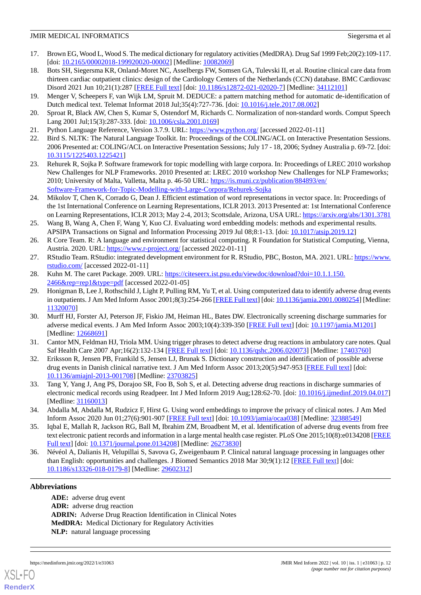- <span id="page-11-0"></span>17. Brown EG, Wood L, Wood S. The medical dictionary for regulatory activities (MedDRA). Drug Saf 1999 Feb;20(2):109-117. [doi: [10.2165/00002018-199920020-00002\]](http://dx.doi.org/10.2165/00002018-199920020-00002) [Medline: [10082069\]](http://www.ncbi.nlm.nih.gov/entrez/query.fcgi?cmd=Retrieve&db=PubMed&list_uids=10082069&dopt=Abstract)
- <span id="page-11-1"></span>18. Bots SH, Siegersma KR, Onland-Moret NC, Asselbergs FW, Somsen GA, Tulevski II, et al. Routine clinical care data from thirteen cardiac outpatient clinics: design of the Cardiology Centers of the Netherlands (CCN) database. BMC Cardiovasc Disord 2021 Jun 10;21(1):287 [\[FREE Full text\]](https://bmccardiovascdisord.biomedcentral.com/articles/10.1186/s12872-021-02020-7) [doi: [10.1186/s12872-021-02020-7\]](http://dx.doi.org/10.1186/s12872-021-02020-7) [Medline: [34112101\]](http://www.ncbi.nlm.nih.gov/entrez/query.fcgi?cmd=Retrieve&db=PubMed&list_uids=34112101&dopt=Abstract)
- <span id="page-11-3"></span><span id="page-11-2"></span>19. Menger V, Scheepers F, van Wijk LM, Spruit M. DEDUCE: a pattern matching method for automatic de-identification of Dutch medical text. Telemat Informat 2018 Jul;35(4):727-736. [doi: [10.1016/j.tele.2017.08.002](http://dx.doi.org/10.1016/j.tele.2017.08.002)]
- <span id="page-11-4"></span>20. Sproat R, Black AW, Chen S, Kumar S, Ostendorf M, Richards C. Normalization of non-standard words. Comput Speech Lang 2001 Jul;15(3):287-333. [doi: [10.1006/csla.2001.0169](http://dx.doi.org/10.1006/csla.2001.0169)]
- <span id="page-11-5"></span>21. Python Language Reference, Version 3.7.9. URL:<https://www.python.org/> [accessed 2022-01-11]
- <span id="page-11-6"></span>22. Bird S. NLTK: The Natural Language Toolkit. In: Proceedings of the COLING/ACL on Interactive Presentation Sessions. 2006 Presented at: COLING/ACL on Interactive Presentation Sessions; July 17 - 18, 2006; Sydney Australia p. 69-72. [doi: [10.3115/1225403.1225421](http://dx.doi.org/10.3115/1225403.1225421)]
- <span id="page-11-7"></span>23. Rehurek R, Sojka P. Software framework for topic modelling with large corpora. In: Proceedings of LREC 2010 workshop New Challenges for NLP Frameworks. 2010 Presented at: LREC 2010 workshop New Challenges for NLP Frameworks; 2010; University of Malta, Valletta, Malta p. 46-50 URL: [https://is.muni.cz/publication/884893/en/](https://is.muni.cz/publication/884893/en/Software-Framework-for-Topic-Modelling-with-Large-Corpora/Rehurek-Sojka) [Software-Framework-for-Topic-Modelling-with-Large-Corpora/Rehurek-Sojka](https://is.muni.cz/publication/884893/en/Software-Framework-for-Topic-Modelling-with-Large-Corpora/Rehurek-Sojka)
- <span id="page-11-8"></span>24. Mikolov T, Chen K, Corrado G, Dean J. Efficient estimation of word representations in vector space. In: Proceedings of the 1st International Conference on Learning Representations, ICLR 2013. 2013 Presented at: 1st International Conference on Learning Representations, ICLR 2013; May 2-4, 2013; Scottsdale, Arizona, USA URL:<https://arxiv.org/abs/1301.3781>
- <span id="page-11-9"></span>25. Wang B, Wang A, Chen F, Wang Y, Kuo CJ. Evaluating word embedding models: methods and experimental results. APSIPA Transactions on Signal and Information Processing 2019 Jul 08;8:1-13. [doi: [10.1017/atsip.2019.12](http://dx.doi.org/10.1017/atsip.2019.12)]
- <span id="page-11-11"></span><span id="page-11-10"></span>26. R Core Team. R: A language and environment for statistical computing. R Foundation for Statistical Computing, Vienna, Austria. 2020. URL:<https://www.r-project.org/> [accessed 2022-01-11]
- <span id="page-11-12"></span>27. RStudio Team. RStudio: integrated development environment for R. RStudio, PBC, Boston, MA. 2021. URL: [https://www.](https://www.rstudio.com/) [rstudio.com/](https://www.rstudio.com/) [accessed 2022-01-11]
- 28. Kuhn M. The caret Package. 2009. URL: [https://citeseerx.ist.psu.edu/viewdoc/download?doi=10.1.1.150.](https://citeseerx.ist.psu.edu/viewdoc/download?doi=10.1.1.150.2466&rep=rep1&type=pdf)  $2466$ &rep=rep1&type=pdf [accessed 2022-01-05]
- <span id="page-11-17"></span>29. Honigman B, Lee J, Rothschild J, Light P, Pulling RM, Yu T, et al. Using computerized data to identify adverse drug events in outpatients. J Am Med Inform Assoc 2001;8(3):254-266 [[FREE Full text](http://europepmc.org/abstract/MED/11320070)] [doi: [10.1136/jamia.2001.0080254](http://dx.doi.org/10.1136/jamia.2001.0080254)] [Medline: [11320070](http://www.ncbi.nlm.nih.gov/entrez/query.fcgi?cmd=Retrieve&db=PubMed&list_uids=11320070&dopt=Abstract)]
- <span id="page-11-18"></span><span id="page-11-13"></span>30. Murff HJ, Forster AJ, Peterson JF, Fiskio JM, Heiman HL, Bates DW. Electronically screening discharge summaries for adverse medical events. J Am Med Inform Assoc 2003;10(4):339-350 [\[FREE Full text](http://europepmc.org/abstract/MED/12668691)] [doi: [10.1197/jamia.M1201\]](http://dx.doi.org/10.1197/jamia.M1201) [Medline: [12668691](http://www.ncbi.nlm.nih.gov/entrez/query.fcgi?cmd=Retrieve&db=PubMed&list_uids=12668691&dopt=Abstract)]
- <span id="page-11-14"></span>31. Cantor MN, Feldman HJ, Triola MM. Using trigger phrases to detect adverse drug reactions in ambulatory care notes. Qual Saf Health Care 2007 Apr;16(2):132-134 [\[FREE Full text\]](http://europepmc.org/abstract/MED/17403760) [doi: [10.1136/qshc.2006.020073\]](http://dx.doi.org/10.1136/qshc.2006.020073) [Medline: [17403760](http://www.ncbi.nlm.nih.gov/entrez/query.fcgi?cmd=Retrieve&db=PubMed&list_uids=17403760&dopt=Abstract)]
- <span id="page-11-15"></span>32. Eriksson R, Jensen PB, Frankild S, Jensen LJ, Brunak S. Dictionary construction and identification of possible adverse drug events in Danish clinical narrative text. J Am Med Inform Assoc 2013;20(5):947-953 [[FREE Full text](http://jamia.oxfordjournals.org/cgi/pmidlookup?view=long&pmid=23703825)] [doi: [10.1136/amiajnl-2013-001708](http://dx.doi.org/10.1136/amiajnl-2013-001708)] [Medline: [23703825](http://www.ncbi.nlm.nih.gov/entrez/query.fcgi?cmd=Retrieve&db=PubMed&list_uids=23703825&dopt=Abstract)]
- <span id="page-11-16"></span>33. Tang Y, Yang J, Ang PS, Dorajoo SR, Foo B, Soh S, et al. Detecting adverse drug reactions in discharge summaries of electronic medical records using Readpeer. Int J Med Inform 2019 Aug;128:62-70. [doi: [10.1016/j.ijmedinf.2019.04.017\]](http://dx.doi.org/10.1016/j.ijmedinf.2019.04.017) [Medline: [31160013](http://www.ncbi.nlm.nih.gov/entrez/query.fcgi?cmd=Retrieve&db=PubMed&list_uids=31160013&dopt=Abstract)]
- <span id="page-11-19"></span>34. Abdalla M, Abdalla M, Rudzicz F, Hirst G. Using word embeddings to improve the privacy of clinical notes. J Am Med Inform Assoc 2020 Jun 01;27(6):901-907 [\[FREE Full text](http://europepmc.org/abstract/MED/32388549)] [doi: [10.1093/jamia/ocaa038](http://dx.doi.org/10.1093/jamia/ocaa038)] [Medline: [32388549](http://www.ncbi.nlm.nih.gov/entrez/query.fcgi?cmd=Retrieve&db=PubMed&list_uids=32388549&dopt=Abstract)]
- 35. Iqbal E, Mallah R, Jackson RG, Ball M, Ibrahim ZM, Broadbent M, et al. Identification of adverse drug events from free text electronic patient records and information in a large mental health case register. PLoS One 2015;10(8):e0134208 [\[FREE](http://dx.plos.org/10.1371/journal.pone.0134208) [Full text\]](http://dx.plos.org/10.1371/journal.pone.0134208) [doi: [10.1371/journal.pone.0134208](http://dx.doi.org/10.1371/journal.pone.0134208)] [Medline: [26273830](http://www.ncbi.nlm.nih.gov/entrez/query.fcgi?cmd=Retrieve&db=PubMed&list_uids=26273830&dopt=Abstract)]
- 36. Névéol A, Dalianis H, Velupillai S, Savova G, Zweigenbaum P. Clinical natural language processing in languages other than English: opportunities and challenges. J Biomed Semantics 2018 Mar 30;9(1):12 [\[FREE Full text\]](https://jbiomedsem.biomedcentral.com/articles/10.1186/s13326-018-0179-8) [doi: [10.1186/s13326-018-0179-8\]](http://dx.doi.org/10.1186/s13326-018-0179-8) [Medline: [29602312](http://www.ncbi.nlm.nih.gov/entrez/query.fcgi?cmd=Retrieve&db=PubMed&list_uids=29602312&dopt=Abstract)]

# **Abbreviations**

[XSL](http://www.w3.org/Style/XSL)•FO **[RenderX](http://www.renderx.com/)**

**ADE:** adverse drug event **ADR:** adverse drug reaction **ADRIN:** Adverse Drug Reaction Identification in Clinical Notes **MedDRA:** Medical Dictionary for Regulatory Activities **NLP:** natural language processing